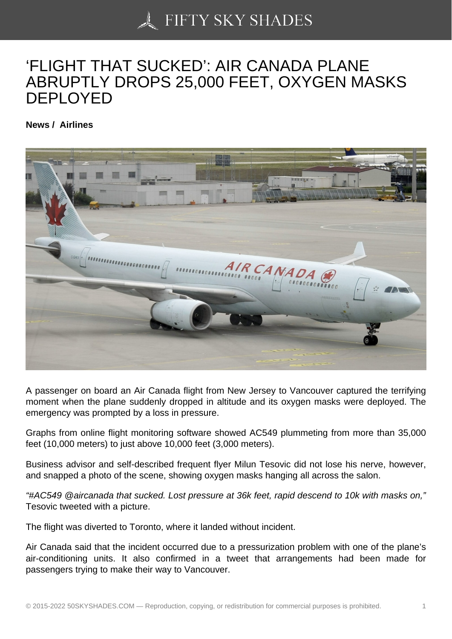## ['FLIGHT THAT SUCKE](https://50skyshades.com)D': AIR CANADA PLANE ABRUPTLY DROPS 25,000 FEET, OXYGEN MASKS DEPLOYED

News / Airlines

A passenger on board an Air Canada flight from New Jersey to Vancouver captured the terrifying moment when the plane suddenly dropped in altitude and its oxygen masks were deployed. The emergency was prompted by a loss in pressure.

Graphs from online flight monitoring software showed AC549 plummeting from more than 35,000 feet (10,000 meters) to just above 10,000 feet (3,000 meters).

Business advisor and self-described frequent flyer Milun Tesovic did not lose his nerve, however, and snapped a photo of the scene, showing oxygen masks hanging all across the salon.

"#AC549 @aircanada that sucked. Lost pressure at 36k feet, rapid descend to 10k with masks on," Tesovic tweeted with a picture.

The flight was diverted to Toronto, where it landed without incident.

Air Canada said that the incident occurred due to a pressurization problem with one of the plane's air-conditioning units. It also confirmed in a tweet that arrangements had been made for passengers trying to make their way to Vancouver.